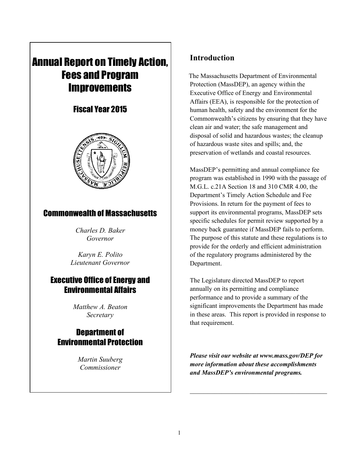# Annual Report on Timely Action, Fees and Program **Improvements**

## Fiscal Year 2015



## Commonwealth of Massachusetts

*Charles D. Baker Governor*

*Karyn E. Polito Lieutenant Governor*

## Executive Office of Energy and Environmental Affairs

*Matthew A. Beaton Secretary*

## Department of Environmental Protection

*Martin Suuberg Commissioner*

## **Introduction**

The Massachusetts Department of Environmental Protection (MassDEP), an agency within the Executive Office of Energy and Environmental Affairs (EEA), is responsible for the protection of human health, safety and the environment for the Commonwealth's citizens by ensuring that they have clean air and water; the safe management and disposal of solid and hazardous wastes; the cleanup of hazardous waste sites and spills; and, the preservation of wetlands and coastal resources.

MassDEP's permitting and annual compliance fee program was established in 1990 with the passage of M.G.L. c.21A Section 18 and 310 CMR 4.00, the Department's Timely Action Schedule and Fee Provisions. In return for the payment of fees to support its environmental programs, MassDEP sets specific schedules for permit review supported by a money back guarantee if MassDEP fails to perform. The purpose of this statute and these regulations is to provide for the orderly and efficient administration of the regulatory programs administered by the Department.

The Legislature directed MassDEP to report annually on its permitting and compliance performance and to provide a summary of the significant improvements the Department has made in these areas. This report is provided in response to that requirement.

*Please visit our website at www.mass.gov/DEP for more information about these accomplishments and MassDEP's environmental programs.* 

 $\mathcal{L}_\text{max}$  and  $\mathcal{L}_\text{max}$  and  $\mathcal{L}_\text{max}$  and  $\mathcal{L}_\text{max}$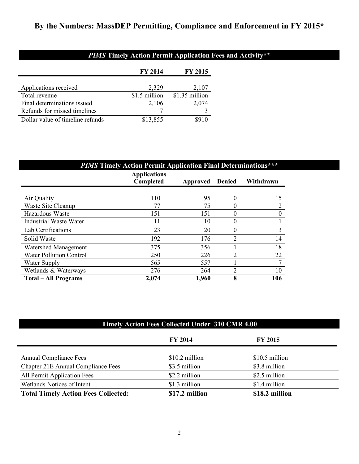## **By the Numbers: MassDEP Permitting, Compliance and Enforcement in FY 2015\***

## *PIMS* **Timely Action Permit Application Fees and Activity\*\***

|                                  | <b>FY 2014</b> | <b>FY 2015</b> |
|----------------------------------|----------------|----------------|
|                                  |                |                |
| Applications received            | 2,329          | 2,107          |
| Total revenue                    | \$1.5 million  | \$1.35 million |
| Final determinations issued      | 2,106          | 2,074          |
| Refunds for missed timelines     |                |                |
| Dollar value of timeline refunds | \$13,855       |                |

| <b>PIMS Timely Action Permit Application Final Determinations***</b> |                                         |                 |                |                |  |
|----------------------------------------------------------------------|-----------------------------------------|-----------------|----------------|----------------|--|
|                                                                      | <b>Applications</b><br><b>Completed</b> | <b>Approved</b> | <b>Denied</b>  | Withdrawn      |  |
| Air Quality                                                          | 110                                     | 95              | 0              | 15             |  |
| Waste Site Cleanup                                                   | 77                                      | 75              | 0              | $\overline{2}$ |  |
| Hazardous Waste                                                      | 151                                     | 151             | 0              | $\theta$       |  |
| Industrial Waste Water                                               | 11                                      | 10              | 0              |                |  |
| Lab Certifications                                                   | 23                                      | 20              | 0              | 3              |  |
| Solid Waste                                                          | 192                                     | 176             | $\overline{2}$ | 14             |  |
| Watershed Management                                                 | 375                                     | 356             |                | 18             |  |
| <b>Water Pollution Control</b>                                       | 250                                     | 226             | $\overline{2}$ | 22             |  |
| Water Supply                                                         | 565                                     | 557             |                | $\tau$         |  |
| Wetlands & Waterways                                                 | 276                                     | 264             | $\overline{2}$ | 10             |  |
| <b>Total – All Programs</b>                                          | 2,074                                   | 1,960           | 8              | 106            |  |

## **Timely Action Fees Collected Under 310 CMR 4.00**

|                                            | <b>FY 2014</b>  | <b>FY 2015</b> |  |
|--------------------------------------------|-----------------|----------------|--|
| <b>Annual Compliance Fees</b>              | $$10.2$ million | \$10.5 million |  |
| Chapter 21E Annual Compliance Fees         | \$3.5 million   | \$3.8 million  |  |
| All Permit Application Fees                | \$2.2 million   | \$2.5 million  |  |
| Wetlands Notices of Intent                 | \$1.3 million   | \$1.4 million  |  |
| <b>Total Timely Action Fees Collected:</b> | \$17.2 million  | \$18.2 million |  |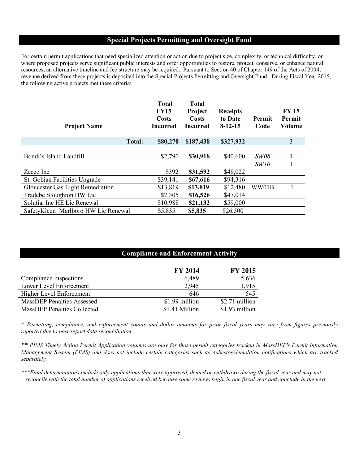## **Special Projects Permitting and Oversight Fund**

For certain permit applications that need specialized attention or action due to project size, complexity, or technical difficulty, or where proposed projects serve significant public interests and offer opportunities to restore, protect, conserve, or enhance natural resources, an alternative timeline and fee structure may be required. Pursuant to Section 40 of Chapter 149 of the Acts of 2004, revenue derived from these projects is deposited into the Special Projects Permitting and Oversight Fund. During Fiscal Year 2015, the following active projects met these criteria:

| <b>Project Name</b>                 |               | <b>Total</b><br><b>FY15</b><br>Costs<br><b>Incurred</b> | <b>Total</b><br>Project<br>Costs<br><b>Incurred</b> | <b>Receipts</b><br>to Date<br>$8-12-15$ | Permit<br>Code | <b>FY 15</b><br>Permit<br>Volume |
|-------------------------------------|---------------|---------------------------------------------------------|-----------------------------------------------------|-----------------------------------------|----------------|----------------------------------|
|                                     | <b>Total:</b> | \$80,270                                                | \$187,438                                           | \$327,932                               |                | 3                                |
| Bondi's Island Landfill             |               | \$2,790                                                 | \$30,918                                            | \$40,600                                | <b>SW08</b>    |                                  |
|                                     |               |                                                         |                                                     |                                         | SW10           |                                  |
| Zecco Inc                           |               | \$392                                                   | \$31,592                                            | \$48,022                                |                |                                  |
| St. Gobian Facilities Upgrade       |               | \$39,141                                                | \$67,616                                            | \$94,316                                |                |                                  |
| Gloucester Gas Light Remediation    |               | \$13,819                                                | \$13,819                                            | \$12,480                                | WW01B          |                                  |
| Tradebe Stoughton HW Lic            |               | \$7,305                                                 | \$16,526                                            | \$47,014                                |                |                                  |
| Solutia, Inc HE Lic Renewal         |               | \$10,988                                                | \$21,132                                            | \$59,000                                |                |                                  |
| SafetyKleen Marlboro HW Lic Renewal |               | \$5,835                                                 | \$5,835                                             | \$26,500                                |                |                                  |

|                                    | <b>Compliance and Enforcement Activity</b> |                |  |
|------------------------------------|--------------------------------------------|----------------|--|
|                                    | <b>FY 2014</b>                             | <b>FY 2015</b> |  |
| Compliance Inspections             | 6,489                                      | 5,636          |  |
| Lower Level Enforcement            | 2,945                                      | 1,915          |  |
| Higher Level Enforcement           | 646                                        | 545            |  |
| <b>MassDEP Penalties Assessed</b>  | \$1.99 million                             | \$2.71 million |  |
| <b>MassDEP Penalties Collected</b> | \$1.41 Million                             | \$1.93 million |  |

*\* Permitting, compliance, and enforcement counts and dollar amounts for prior fiscal years may vary from figures previously reported due to post-report data reconciliation.*

*\*\* PIMS Timely Action Permit Application volumes are only for those permit categories tracked in MassDEP's Permit Information Management System (PIMS) and does not include certain categories such as Asbestos/demolition notifications which are tracked separately.*

*\*\*\*Final determinations include only applications that were approved, denied or withdrawn during the fiscal year and may not reconcile with the total number of applications received because some reviews begin in one fiscal year and conclude in the next.*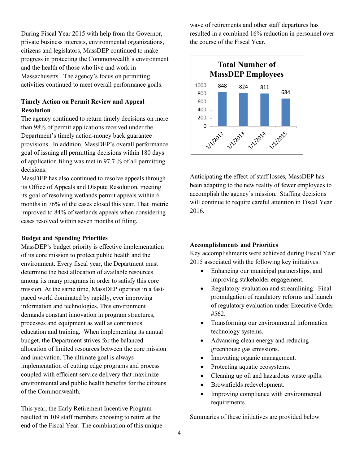During Fiscal Year 2015 with help from the Governor, private business interests, environmental organizations, citizens and legislators, MassDEP continued to make progress in protecting the Commonwealth's environment and the health of those who live and work in Massachusetts. The agency's focus on permitting activities continued to meet overall performance goals.

### **Timely Action on Permit Review and Appeal Resolution**

The agency continued to return timely decisions on more than 98% of permit applications received under the Department's timely action-money back guarantee provisions. In addition, MassDEP's overall performance goal of issuing all permitting decisions within 180 days of application filing was met in 97.7 % of all permitting decisions.

MassDEP has also continued to resolve appeals through its Office of Appeals and Dispute Resolution, meeting its goal of resolving wetlands permit appeals within 6 months in 76% of the cases closed this year. That metric improved to 84% of wetlands appeals when considering cases resolved within seven months of filing.

#### **Budget and Spending Priorities**

MassDEP's budget priority is effective implementation of its core mission to protect public health and the environment. Every fiscal year, the Department must determine the best allocation of available resources among its many programs in order to satisfy this core mission. At the same time, MassDEP operates in a fastpaced world dominated by rapidly, ever improving information and technologies. This environment demands constant innovation in program structures, processes and equipment as well as continuous education and training. When implementing its annual budget, the Department strives for the balanced allocation of limited resources between the core mission and innovation. The ultimate goal is always implementation of cutting edge programs and process coupled with efficient service delivery that maximize environmental and public health benefits for the citizens of the Commonwealth.

This year, the Early Retirement Incentive Program resulted in 109 staff members choosing to retire at the end of the Fiscal Year. The combination of this unique wave of retirements and other staff departures has resulted in a combined 16% reduction in personnel over the course of the Fiscal Year.



Anticipating the effect of staff losses, MassDEP has been adapting to the new reality of fewer employees to accomplish the agency's mission. Staffing decisions will continue to require careful attention in Fiscal Year 2016.

#### **Accomplishments and Priorities**

Key accomplishments were achieved during Fiscal Year 2015 associated with the following key initiatives:

- Enhancing our municipal partnerships, and improving stakeholder engagement.
- Regulatory evaluation and streamlining: Final promulgation of regulatory reforms and launch of regulatory evaluation under Executive Order #562.
- Transforming our environmental information technology systems.
- Advancing clean energy and reducing greenhouse gas emissions.
- Innovating organic management.
- Protecting aquatic ecosystems.
- Cleaning up oil and hazardous waste spills.
- Brownfields redevelopment.
- Improving compliance with environmental requirements.

Summaries of these initiatives are provided below.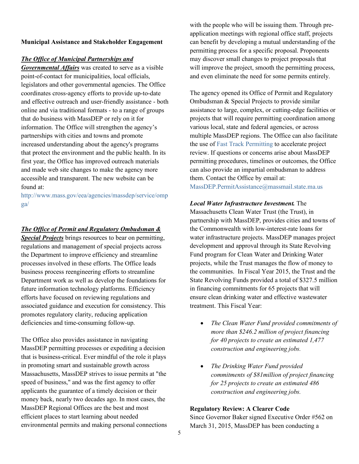#### **Municipal Assistance and Stakeholder Engagement**

#### *The Office of Municipal Partnerships and*

*Governmental Affairs* was created to serve as a visible point-of-contact for municipalities, local officials, legislators and other governmental agencies. The Office coordinates cross-agency efforts to provide up-to-date and effective outreach and user-friendly assistance - both online and via traditional formats - to a range of groups that do business with MassDEP or rely on it for information. The Office will strengthen the agency's partnerships with cities and towns and promote increased understanding about the agency's programs that protect the environment and the public health. In its first year, the Office has improved outreach materials and made web site changes to make the agency more accessible and transparent. The new website can be found at:

http://www.mass.gov/eea/agencies/massdep/service/omp ga/

#### *The Office of Permit and Regulatory Ombudsman &*

*Special Projects* brings resources to bear on permitting, regulations and management of special projects across the Department to improve efficiency and streamline processes involved in these efforts. The Office leads business process reengineering efforts to streamline Department work as well as develop the foundations for future information technology platforms. Efficiency efforts have focused on reviewing regulations and associated guidance and execution for consistency. This promotes regulatory clarity, reducing application deficiencies and time-consuming follow-up.

The Office also provides assistance in navigating MassDEP permitting processes or expediting a decision that is business-critical. Ever mindful of the role it plays in promoting smart and sustainable growth across Massachusetts, MassDEP strives to issue permits at "the speed of business," and was the first agency to offer applicants the guarantee of a timely decision or their money back, nearly two decades ago. In most cases, the MassDEP Regional Offices are the best and most efficient places to start learning about needed environmental permits and making personal connections with the people who will be issuing them. Through preapplication meetings with regional office staff, projects can benefit by developing a mutual understanding of the permitting process for a specific proposal. Proponents may discover small changes to project proposals that will improve the project, smooth the permitting process, and even eliminate the need for some permits entirely.

The agency opened its Office of Permit and Regulatory Ombudsman & Special Projects to provide similar assistance to large, complex, or cutting-edge facilities or projects that will require permitting coordination among various local, state and federal agencies, or across multiple MassDEP regions. The Office can also facilitate the use of Fast Track Permitting to accelerate project review. If questions or concerns arise about MassDEP permitting procedures, timelines or outcomes, the Office can also provide an impartial ombudsman to address them. Contact the Office by email at: MassDEP.PermitAssistance@massmail.state.ma.us

## *Local Water Infrastructure Investment.* The

Massachusetts Clean Water Trust (the Trust), in partnership with MassDEP, provides cities and towns of the Commonwealth with low-interest-rate loans for water infrastructure projects. MassDEP manages project development and approval through its State Revolving Fund program for Clean Water and Drinking Water projects, while the Trust manages the flow of money to the communities. In Fiscal Year 2015, the Trust and the State Revolving Funds provided a total of \$327.5 million in financing commitments for 65 projects that will ensure clean drinking water and effective wastewater treatment. This Fiscal Year:

- *The Clean Water Fund provided commitments of more than \$246.2 million of project financing for 40 projects to create an estimated 1,477 construction and engineering jobs.*
- *The Drinking Water Fund provided commitments of \$81million of project financing for 25 projects to create an estimated 486 construction and engineering jobs.*

#### **Regulatory Review: A Clearer Code**

Since Governor Baker signed Executive Order #562 on March 31, 2015, MassDEP has been conducting a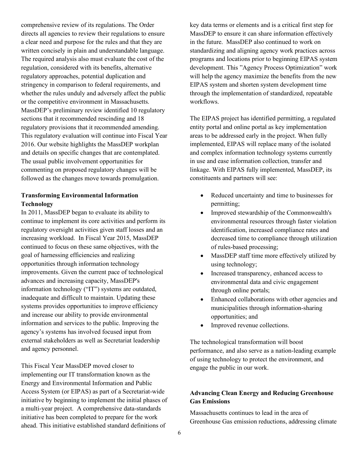comprehensive review of its regulations. The Order directs all agencies to review their regulations to ensure a clear need and purpose for the rules and that they are written concisely in plain and understandable language. The required analysis also must evaluate the cost of the regulation, considered with its benefits, alternative regulatory approaches, potential duplication and stringency in comparison to federal requirements, and whether the rules unduly and adversely affect the public or the competitive environment in Massachusetts. MassDEP's preliminary review identified 10 regulatory sections that it recommended rescinding and 18 regulatory provisions that it recommended amending. This regulatory evaluation will continue into Fiscal Year 2016. Our website highlights the MassDEP workplan and details on specific changes that are contemplated. The usual public involvement opportunities for commenting on proposed regulatory changes will be followed as the changes move towards promulgation.

## **Transforming Environmental Information Technology**

In 2011, MassDEP began to evaluate its ability to continue to implement its core activities and perform its regulatory oversight activities given staff losses and an increasing workload. In Fiscal Year 2015, MassDEP continued to focus on these same objectives, with the goal of harnessing efficiencies and realizing opportunities through information technology improvements. Given the current pace of technological advances and increasing capacity, MassDEP's information technology ("IT") systems are outdated, inadequate and difficult to maintain. Updating these systems provides opportunities to improve efficiency and increase our ability to provide environmental information and services to the public. Improving the agency's systems has involved focused input from external stakeholders as well as Secretariat leadership and agency personnel.

This Fiscal Year MassDEP moved closer to implementing our IT transformation known as the Energy and Environmental Information and Public Access System (or EIPAS) as part of a Secretariat-wide initiative by beginning to implement the initial phases of a multi-year project. A comprehensive data-standards initiative has been completed to prepare for the work ahead. This initiative established standard definitions of

key data terms or elements and is a critical first step for MassDEP to ensure it can share information effectively in the future. MassDEP also continued to work on standardizing and aligning agency work practices across programs and locations prior to beginning EIPAS system development. This "Agency Process Optimization" work will help the agency maximize the benefits from the new EIPAS system and shorten system development time through the implementation of standardized, repeatable workflows.

The EIPAS project has identified permitting, a regulated entity portal and online portal as key implementation areas to be addressed early in the project. When fully implemented, EIPAS will replace many of the isolated and complex information technology systems currently in use and ease information collection, transfer and linkage. With EIPAS fully implemented, MassDEP, its constituents and partners will see:

- Reduced uncertainty and time to businesses for permitting;
- Improved stewardship of the Commonwealth's environmental resources through faster violation identification, increased compliance rates and decreased time to compliance through utilization of rules-based processing;
- MassDEP staff time more effectively utilized by using technology;
- Increased transparency, enhanced access to environmental data and civic engagement through online portals;
- Enhanced collaborations with other agencies and municipalities through information-sharing opportunities; and
- Improved revenue collections.

The technological transformation will boost performance, and also serve as a nation-leading example of using technology to protect the environment, and engage the public in our work.

## **Advancing Clean Energy and Reducing Greenhouse Gas Emissions**

Massachusetts continues to lead in the area of Greenhouse Gas emission reductions, addressing climate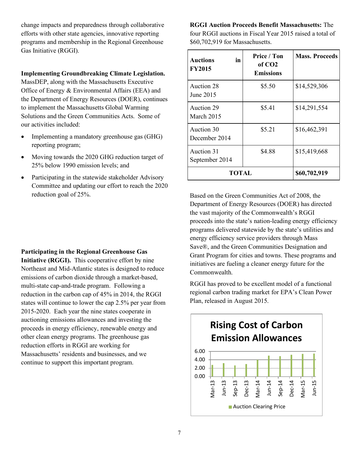change impacts and preparedness through collaborative efforts with other state agencies, innovative reporting programs and membership in the Regional Greenhouse Gas Initiative (RGGI).

#### **Implementing Groundbreaking Climate Legislation.**

MassDEP, along with the Massachusetts Executive Office of Energy & Environmental Affairs (EEA) and the Department of Energy Resources (DOER), continues to implement the Massachusetts Global Warming Solutions and the Green Communities Acts. Some of our activities included:

- Implementing a mandatory greenhouse gas (GHG) reporting program;
- Moving towards the 2020 GHG reduction target of 25% below 1990 emission levels; and
- Participating in the statewide stakeholder Advisory Committee and updating our effort to reach the 2020 reduction goal of 25%.

**Participating in the Regional Greenhouse Gas** 

**Initiative (RGGI).** This cooperative effort by nine Northeast and Mid-Atlantic states is designed to reduce emissions of carbon dioxide through a market-based, multi-state cap-and-trade program. Following a reduction in the carbon cap of 45% in 2014, the RGGI states will continue to lower the cap 2.5% per year from 2015-2020. Each year the nine states cooperate in auctioning emissions allowances and investing the proceeds in energy efficiency, renewable energy and other clean energy programs. The greenhouse gas reduction efforts in RGGI are working for Massachusetts' residents and businesses, and we continue to support this important program.

**RGGI Auction Proceeds Benefit Massachusetts:** The four RGGI auctions in Fiscal Year 2015 raised a total of \$60,702,919 for Massachusetts.

| in<br><b>Auctions</b><br><b>FY2015</b> | Price / Ton<br>of CO <sub>2</sub><br><b>Emissions</b> | <b>Mass. Proceeds</b> |
|----------------------------------------|-------------------------------------------------------|-----------------------|
| Auction 28<br>June 2015                | \$5.50                                                | \$14,529,306          |
| Auction 29<br><b>March 2015</b>        | \$5.41                                                | \$14,291,554          |
| Auction 30<br>December 2014            | \$5.21                                                | \$16,462,391          |
| Auction 31<br>September 2014           | \$4.88                                                | \$15,419,668          |
| TOTAL                                  |                                                       | \$60,702,919          |

Based on the Green Communities Act of 2008, the Department of Energy Resources (DOER) has directed the vast majority of the Commonwealth's RGGI proceeds into the state's nation-leading energy efficiency programs delivered statewide by the state's utilities and energy efficiency service providers through Mass Save®, and the Green Communities Designation and Grant Program for cities and towns. These programs and initiatives are fueling a cleaner energy future for the Commonwealth.

RGGI has proved to be excellent model of a functional regional carbon trading market for EPA's Clean Power Plan, released in August 2015.

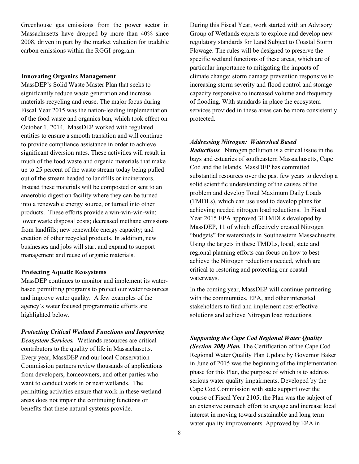Greenhouse gas emissions from the power sector in Massachusetts have dropped by more than 40% since 2008, driven in part by the market valuation for tradable carbon emissions within the RGGI program.

#### **Innovating Organics Management**

MassDEP's Solid Waste Master Plan that seeks to significantly reduce waste generation and increase materials recycling and reuse. The major focus during Fiscal Year 2015 was the nation-leading implementation of the food waste and organics ban, which took effect on October 1, 2014. MassDEP worked with regulated entities to ensure a smooth transition and will continue to provide compliance assistance in order to achieve significant diversion rates. These activities will result in much of the food waste and organic materials that make up to 25 percent of the waste stream today being pulled out of the stream headed to landfills or incinerators. Instead these materials will be composted or sent to an anaerobic digestion facility where they can be turned into a renewable energy source, or turned into other products. These efforts provide a win-win-win-win: lower waste disposal costs; decreased methane emissions from landfills; new renewable energy capacity; and creation of other recycled products. In addition, new businesses and jobs will start and expand to support management and reuse of organic materials.

#### **Protecting Aquatic Ecosystems**

MassDEP continues to monitor and implement its waterbased permitting programs to protect our water resources and improve water quality. A few examples of the agency's water focused programmatic efforts are highlighted below.

#### *Protecting Critical Wetland Functions and Improving*

*Ecosystem Services.* Wetlands resources are critical contributors to the quality of life in Massachusetts. Every year, MassDEP and our local Conservation Commission partners review thousands of applications from developers, homeowners, and other parties who want to conduct work in or near wetlands. The permitting activities ensure that work in these wetland areas does not impair the continuing functions or benefits that these natural systems provide.

During this Fiscal Year, work started with an Advisory Group of Wetlands experts to explore and develop new regulatory standards for Land Subject to Coastal Storm Flowage. The rules will be designed to preserve the specific wetland functions of these areas, which are of particular importance to mitigating the impacts of climate change: storm damage prevention responsive to increasing storm severity and flood control and storage capacity responsive to increased volume and frequency of flooding. With standards in place the ecosystem services provided in these areas can be more consistently protected.

#### *Addressing Nitrogen: Watershed Based*

*Reductions* Nitrogen pollution is a critical issue in the bays and estuaries of southeastern Massachusetts, Cape Cod and the Islands. MassDEP has committed substantial resources over the past few years to develop a solid scientific understanding of the causes of the problem and develop Total Maximum Daily Loads (TMDLs), which can use used to develop plans for achieving needed nitrogen load reductions. In Fiscal Year 2015 EPA approved 31TMDLs developed by MassDEP, 11 of which effectively created Nitrogen "budgets" for watersheds in Southeastern Massachusetts. Using the targets in these TMDLs, local, state and regional planning efforts can focus on how to best achieve the Nitrogen reductions needed, which are critical to restoring and protecting our coastal waterways.

In the coming year, MassDEP will continue partnering with the communities, EPA, and other interested stakeholders to find and implement cost-effective solutions and achieve Nitrogen load reductions.

## *Supporting the Cape Cod Regional Water Quality*

*(Section 208) Plan.* The Certification of the Cape Cod Regional Water Quality Plan Update by Governor Baker in June of 2015 was the beginning of the implementation phase for this Plan, the purpose of which is to address serious water quality impairments. Developed by the Cape Cod Commission with state support over the course of Fiscal Year 2105, the Plan was the subject of an extensive outreach effort to engage and increase local interest in moving toward sustainable and long term water quality improvements. Approved by EPA in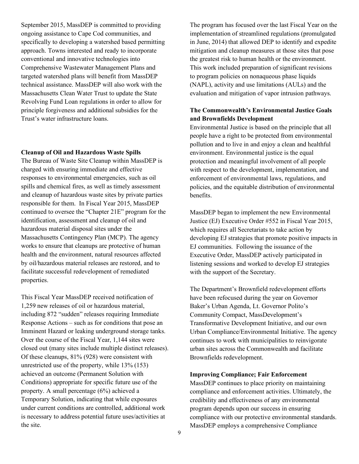September 2015, MassDEP is committed to providing ongoing assistance to Cape Cod communities, and specifically to developing a watershed based permitting approach. Towns interested and ready to incorporate conventional and innovative technologies into Comprehensive Wastewater Management Plans and targeted watershed plans will benefit from MassDEP technical assistance. MassDEP will also work with the Massachusetts Clean Water Trust to update the State Revolving Fund Loan regulations in order to allow for principle forgiveness and additional subsidies for the Trust's water infrastructure loans.

#### **Cleanup of Oil and Hazardous Waste Spills**

The Bureau of Waste Site Cleanup within MassDEP is charged with ensuring immediate and effective responses to environmental emergencies, such as oil spills and chemical fires, as well as timely assessment and cleanup of hazardous waste sites by private parties responsible for them. In Fiscal Year 2015, MassDEP continued to oversee the "Chapter 21E" program for the identification, assessment and cleanup of oil and hazardous material disposal sites under the Massachusetts Contingency Plan (MCP). The agency works to ensure that cleanups are protective of human health and the environment, natural resources affected by oil/hazardous material releases are restored, and to facilitate successful redevelopment of remediated properties.

This Fiscal Year MassDEP received notification of 1,259 new releases of oil or hazardous material, including 872 "sudden" releases requiring Immediate Response Actions – such as for conditions that pose an Imminent Hazard or leaking underground storage tanks. Over the course of the Fiscal Year, 1,144 sites were closed out (many sites include multiple distinct releases). Of these cleanups, 81% (928) were consistent with unrestricted use of the property, while 13% (153) achieved an outcome (Permanent Solution with Conditions) appropriate for specific future use of the property. A small percentage (6%) achieved a Temporary Solution, indicating that while exposures under current conditions are controlled, additional work is necessary to address potential future uses/activities at the site.

The program has focused over the last Fiscal Year on the implementation of streamlined regulations (promulgated in June, 2014) that allowed DEP to identify and expedite mitigation and cleanup measures at those sites that pose the greatest risk to human health or the environment. This work included preparation of significant revisions to program policies on nonaqueous phase liquids (NAPL), activity and use limitations (AULs) and the evaluation and mitigation of vapor intrusion pathways.

### **The Commonwealth's Environmental Justice Goals and Brownfields Development**

Environmental Justice is based on the principle that all people have a right to be protected from environmental pollution and to live in and enjoy a clean and healthful environment. Environmental justice is the equal protection and meaningful involvement of all people with respect to the development, implementation, and enforcement of environmental laws, regulations, and policies, and the equitable distribution of environmental benefits.

MassDEP began to implement the new Environmental Justice (EJ) Executive Order #552 in Fiscal Year 2015, which requires all Secretariats to take action by developing EJ strategies that promote positive impacts in EJ communities. Following the issuance of the Executive Order, MassDEP actively participated in listening sessions and worked to develop EJ strategies with the support of the Secretary.

The Department's Brownfield redevelopment efforts have been refocused during the year on Governor Baker's Urban Agenda, Lt. Governor Polito's Community Compact, MassDevelopment's Transformative Development Initiative, and our own Urban Compliance/Environmental Initiative. The agency continues to work with municipalities to reinvigorate urban sites across the Commonwealth and facilitate Brownfields redevelopment.

#### **Improving Compliance; Fair Enforcement**

MassDEP continues to place priority on maintaining compliance and enforcement activities. Ultimately, the credibility and effectiveness of any environmental program depends upon our success in ensuring compliance with our protective environmental standards. MassDEP employs a comprehensive Compliance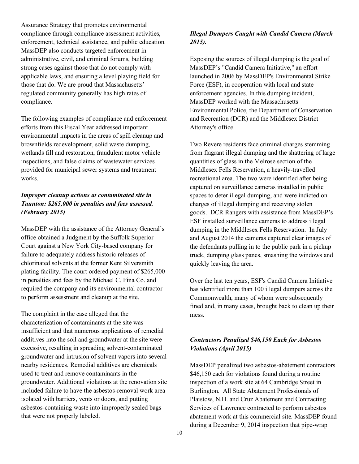Assurance Strategy that promotes environmental compliance through compliance assessment activities, enforcement, technical assistance, and public education. MassDEP also conducts targeted enforcement in administrative, civil, and criminal forums, building strong cases against those that do not comply with applicable laws, and ensuring a level playing field for those that do. We are proud that Massachusetts' regulated community generally has high rates of compliance.

The following examples of compliance and enforcement efforts from this Fiscal Year addressed important environmental impacts in the areas of spill cleanup and brownfields redevelopment, solid waste dumping, wetlands fill and restoration, fraudulent motor vehicle inspections, and false claims of wastewater services provided for municipal sewer systems and treatment works.

## *Improper cleanup actions at contaminated site in Taunton: \$265,000 in penalties and fees assessed. (February 2015)*

MassDEP with the assistance of the Attorney General's office obtained a Judgment by the Suffolk Superior Court against a New York City-based company for failure to adequately address historic releases of chlorinated solvents at the former Kent Silversmith plating facility. The court ordered payment of \$265,000 in penalties and fees by the Michael C. Fina Co. and required the company and its environmental contractor to perform assessment and cleanup at the site.

The complaint in the case alleged that the characterization of contaminants at the site was insufficient and that numerous applications of remedial additives into the soil and groundwater at the site were excessive, resulting in spreading solvent-contaminated groundwater and intrusion of solvent vapors into several nearby residences. Remedial additives are chemicals used to treat and remove contaminants in the groundwater. Additional violations at the renovation site included failure to have the asbestos-removal work area isolated with barriers, vents or doors, and putting asbestos-containing waste into improperly sealed bags that were not properly labeled.

## *Illegal Dumpers Caught with Candid Camera (March 2015).*

Exposing the sources of illegal dumping is the goal of MassDEP's "Candid Camera Initiative," an effort launched in 2006 by MassDEP's Environmental Strike Force (ESF), in cooperation with local and state enforcement agencies. In this dumping incident, MassDEP worked with the Massachusetts Environmental Police, the Department of Conservation and Recreation (DCR) and the Middlesex District Attorney's office.

Two Revere residents face criminal charges stemming from flagrant illegal dumping and the shattering of large quantities of glass in the Melrose section of the Middlesex Fells Reservation, a heavily-travelled recreational area. The two were identified after being captured on surveillance cameras installed in public spaces to deter illegal dumping, and were indicted on charges of illegal dumping and receiving stolen goods. DCR Rangers with assistance from MassDEP's ESF installed surveillance cameras to address illegal dumping in the Middlesex Fells Reservation. In July and August 2014 the cameras captured clear images of the defendants pulling in to the public park in a pickup truck, dumping glass panes, smashing the windows and quickly leaving the area.

Over the last ten years, ESF's Candid Camera Initiative has identified more than 100 illegal dumpers across the Commonwealth, many of whom were subsequently fined and, in many cases, brought back to clean up their mess.

## *Contractors Penalized \$46,150 Each for Asbestos Violations (April 2015)*

MassDEP penalized two asbestos-abatement contractors \$46,150 each for violations found during a routine inspection of a work site at 64 Cambridge Street in Burlington. All State Abatement Professionals of Plaistow, N.H. and Cruz Abatement and Contracting Services of Lawrence contracted to perform asbestos abatement work at this commercial site. MassDEP found during a December 9, 2014 inspection that pipe-wrap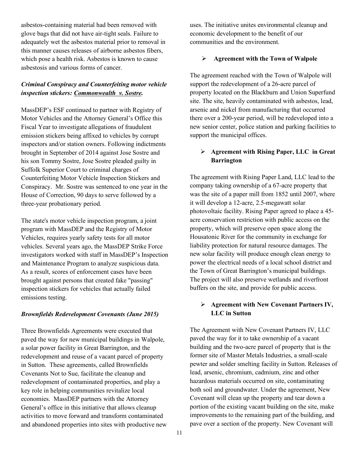asbestos-containing material had been removed with glove bags that did not have air-tight seals. Failure to adequately wet the asbestos material prior to removal in this manner causes releases of airborne asbestos fibers, which pose a health risk. Asbestos is known to cause asbestosis and various forms of cancer.

## *Criminal Conspiracy and Counterfeiting motor vehicle inspection stickers: Commonwealth v. Sostre.*

MassDEP's ESF continued to partner with Registry of Motor Vehicles and the Attorney General's Office this Fiscal Year to investigate allegations of fraudulent emission stickers being affixed to vehicles by corrupt inspectors and/or station owners. Following indictments brought in September of 2014 against Jose Sostre and his son Tommy Sostre, Jose Sostre pleaded guilty in Suffolk Superior Court to criminal charges of Counterfeiting Motor Vehicle Inspection Stickers and Conspiracy. Mr. Sostre was sentenced to one year in the House of Correction, 90 days to serve followed by a three-year probationary period.

The state's motor vehicle inspection program, a joint program with MassDEP and the Registry of Motor Vehicles, requires yearly safety tests for all motor vehicles. Several years ago, the MassDEP Strike Force investigators worked with staff in MassDEP's Inspection and Maintenance Program to analyze suspicious data. As a result, scores of enforcement cases have been brought against persons that created fake "passing" inspection stickers for vehicles that actually failed emissions testing.

### *Brownfields Redevelopment Covenants (June 2015)*

Three Brownfields Agreements were executed that paved the way for new municipal buildings in Walpole, a solar power facility in Great Barrington, and the redevelopment and reuse of a vacant parcel of property in Sutton. These agreements, called Brownfields Covenants Not to Sue, facilitate the cleanup and redevelopment of contaminated properties, and play a key role in helping communities revitalize local economies. MassDEP partners with the Attorney General's office in this initiative that allows cleanup activities to move forward and transform contaminated and abandoned properties into sites with productive new uses. The initiative unites environmental cleanup and economic development to the benefit of our communities and the environment.

#### Ø **Agreement with the Town of Walpole**

The agreement reached with the Town of Walpole will support the redevelopment of a 26-acre parcel of property located on the Blackburn and Union Superfund site. The site, heavily contaminated with asbestos, lead, arsenic and nickel from manufacturing that occurred there over a 200-year period, will be redeveloped into a new senior center, police station and parking facilities to support the municipal offices.

## Ø **Agreement with Rising Paper, LLC in Great Barrington**

The agreement with Rising Paper Land, LLC lead to the company taking ownership of a 67-acre property that was the site of a paper mill from 1852 until 2007, where it will develop a 12-acre, 2.5-megawatt solar photovoltaic facility. Rising Paper agreed to place a 45 acre conservation restriction with public access on the property, which will preserve open space along the Housatonic River for the community in exchange for liability protection for natural resource damages. The new solar facility will produce enough clean energy to power the electrical needs of a local school district and the Town of Great Barrington's municipal buildings. The project will also preserve wetlands and riverfront buffers on the site, and provide for public access.

### Ø **Agreement with New Covenant Partners IV, LLC in Sutton**

The Agreement with New Covenant Partners IV, LLC paved the way for it to take ownership of a vacant building and the two-acre parcel of property that is the former site of Master Metals Industries, a small-scale pewter and solder smelting facility in Sutton. Releases of lead, arsenic, chromium, cadmium, zinc and other hazardous materials occurred on site, contaminating both soil and groundwater. Under the agreement, New Covenant will clean up the property and tear down a portion of the existing vacant building on the site, make improvements to the remaining part of the building, and pave over a section of the property. New Covenant will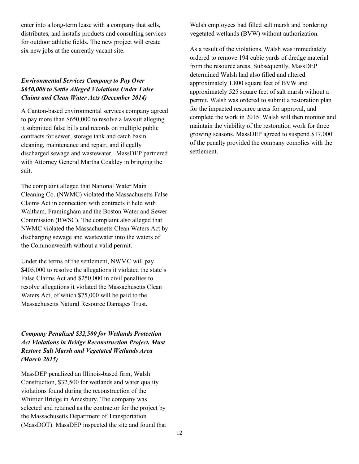enter into a long-term lease with a company that sells, distributes, and installs products and consulting services for outdoor athletic fields. The new project will create six new jobs at the currently vacant site.

## *Environmental Services Company to Pay Over \$650,000 to Settle Alleged Violations Under False Claims and Clean Water Acts (December 2014)*

A Canton-based environmental services company agreed to pay more than \$650,000 to resolve a lawsuit alleging it submitted false bills and records on multiple public contracts for sewer, storage tank and catch basin cleaning, maintenance and repair, and illegally discharged sewage and wastewater. MassDEP partnered with Attorney General Martha Coakley in bringing the suit.

The complaint alleged that National Water Main Cleaning Co. (NWMC) violated the Massachusetts False Claims Act in connection with contracts it held with Waltham, Framingham and the Boston Water and Sewer Commission (BWSC). The complaint also alleged that NWMC violated the Massachusetts Clean Waters Act by discharging sewage and wastewater into the waters of the Commonwealth without a valid permit.

Under the terms of the settlement, NWMC will pay \$405,000 to resolve the allegations it violated the state's False Claims Act and \$250,000 in civil penalties to resolve allegations it violated the Massachusetts Clean Waters Act, of which \$75,000 will be paid to the Massachusetts Natural Resource Damages Trust.

*Company Penalized \$32,500 for Wetlands Protection Act Violations in Bridge Reconstruction Project. Must Restore Salt Marsh and Vegetated Wetlands Area (March 2015)* 

MassDEP penalized an Illinois-based firm, Walsh Construction, \$32,500 for wetlands and water quality violations found during the reconstruction of the Whittier Bridge in Amesbury. The company was selected and retained as the contractor for the project by the Massachusetts Department of Transportation (MassDOT). MassDEP inspected the site and found that Walsh employees had filled salt marsh and bordering vegetated wetlands (BVW) without authorization.

As a result of the violations, Walsh was immediately ordered to remove 194 cubic yards of dredge material from the resource areas. Subsequently, MassDEP determined Walsh had also filled and altered approximately 1,800 square feet of BVW and approximately 525 square feet of salt marsh without a permit. Walsh was ordered to submit a restoration plan for the impacted resource areas for approval, and complete the work in 2015. Walsh will then monitor and maintain the viability of the restoration work for three growing seasons. MassDEP agreed to suspend \$17,000 of the penalty provided the company complies with the settlement.